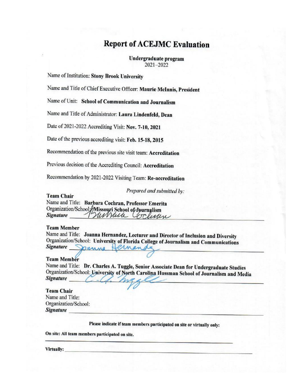# **Report of ACEJMC Evaluation**

Undergraduate program 2021-2022

Name of Institution: Stony Brook University

Name and Title of Chief Executive Officer: Maurie McInnis, President

Name of Unit: School of Communication and Journalism

Name and Title of Administrator: Laura Lindenfeld, Dean

Date of 2021-2022 Accrediting Visit: Nov. 7-10, 2021

Date of the previous accrediting visit: Feb. 15-18, 2015

Recommendation of the previous site visit team: Accreditation

Previous decision of the Accrediting Council: Accreditation

Recommendation by 2021-2022 Visiting Team: Re-accreditation

Prepared and submitted by:

**Team Chair** 

Name and Title: Barbara Cochran, Professor Emerita Organization/School Missouri School of Journalism Surveille Cooliner **Signature** 

#### **Team Member**

Name and Title: Joanna Hernandez, Lecturer and Director of Inclusion and Diversity Organization/School: University of Florida College of Journalism and Communications Signature Canna ernan

#### **Team Member**

Name and Title: Dr. Charles A. Tuggle, Senior Associate Dean for Undergraduate Studies Organization/School: University of North Carolina Hussman School of Journalism and Media **Signature** 

**Team Chair** Name and Title: Organization/School: **Signature** 

Please indicate if team members participated on site or virtually only:

On site: All team members participated on site.

Virtually: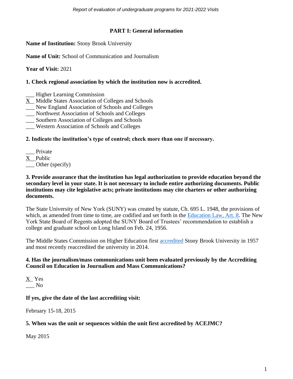*Report of evaluation of undergraduate programs for 2021-2022 Visits* 

# **PART I: General information**

**Name of Institution:** Stony Brook University

**Name of Unit:** School of Communication and Journalism

**Year of Visit:** 2021

### **1. Check regional association by which the institution now is accredited.**

- \_\_\_ Higher Learning Commission
- X Middle States Association of Colleges and Schools
- \_\_\_ New England Association of Schools and Colleges
- \_\_\_ Northwest Association of Schools and Colleges
- \_\_\_ Southern Association of Colleges and Schools
- \_\_\_ Western Association of Schools and Colleges

# **2. Indicate the institution's type of control; check more than one if necessary.**

\_\_\_ Private X Public \_\_\_ Other (specify)

#### **3. Provide assurance that the institution has legal authorization to provide education beyond the secondary level in your state. It is not necessary to include entire authorizing documents. Public institutions may cite legislative acts; private institutions may cite charters or other authorizing documents.**

The State University of New York (SUNY) was created by statute, Ch. 695 L. 1948, the provisions of which, as amended from time to time, are codified and set forth in the [Education Law, Art. 8.](https://www.suny.edu/media/suny/content-assets/documents/boardoftrustees/BOT-education-law-article--8.pdf) The New York State Board of Regents adopted the SUNY Board of Trustees' recommendation to establish a college and graduate school on Long Island on Feb. 24, 1956.

The Middle States Commission on Higher Education first [accredited](https://www.msche.org/institution/0396/) Stony Brook University in 1957 and most recently reaccredited the university in 2014.

### **4. Has the journalism/mass communications unit been evaluated previously by the Accrediting Council on Education in Journalism and Mass Communications?**

X Yes  $\overline{\phantom{0}}$  No

# **If yes, give the date of the last accrediting visit:**

February 15-18, 2015

# **5. When was the unit or sequences within the unit first accredited by ACEJMC?**

May 2015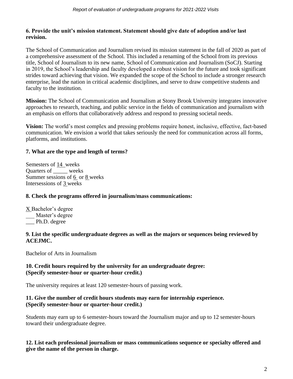# **6. Provide the unit's mission statement. Statement should give date of adoption and/or last revision.**

The School of Communication and Journalism revised its mission statement in the fall of 2020 as part of a comprehensive assessment of the School. This included a renaming of the School from its previous title, School of Journalism to its new name, School of Communication and Journalism (SoCJ). Starting in 2019, the School's leadership and faculty developed a robust vision for the future and took significant strides toward achieving that vision. We expanded the scope of the School to include a stronger research enterprise, lead the nation in critical academic disciplines, and serve to draw competitive students and faculty to the institution.

**Mission:** The School of Communication and Journalism at Stony Brook University integrates innovative approaches to research, teaching, and public service in the fields of communication and journalism with an emphasis on efforts that collaboratively address and respond to pressing societal needs.

**Vision:** The world's most complex and pressing problems require honest, inclusive, effective, fact-based communication. We envision a world that takes seriously the need for communication across all forms, platforms, and institutions.

# **7. What are the type and length of terms?**

Semesters of 14 weeks Quarters of \_\_\_\_\_ weeks Summer sessions of 6 or 8 weeks Intersessions of 3 weeks

# **8. Check the programs offered in journalism/mass communications:**

X Bachelor's degree \_\_\_ Master's degree \_\_\_ Ph.D. degree

### **9. List the specific undergraduate degrees as well as the majors or sequences being reviewed by ACEJMC.**

Bachelor of Arts in Journalism

# **10. Credit hours required by the university for an undergraduate degree: (Specify semester-hour or quarter-hour credit.)**

The university requires at least 120 semester-hours of passing work.

### **11. Give the number of credit hours students may earn for internship experience. (Specify semester-hour or quarter-hour credit.)**

Students may earn up to 6 semester-hours toward the Journalism major and up to 12 semester-hours toward their undergraduate degree.

**12. List each professional journalism or mass communications sequence or specialty offered and give the name of the person in charge.**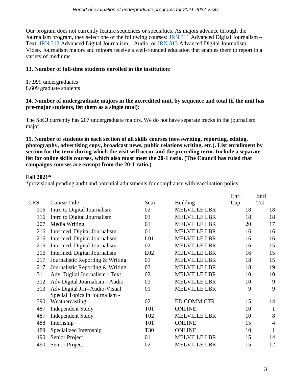Our program does not currently feature sequences or specialties. As majors advance through the Journalism program, they select one of the following courses: [JRN 311](https://www.stonybrook.edu/bulletin/current/courses/jrn/#311) Advanced Digital Journalism – Text, [JRN 312](https://www.stonybrook.edu/bulletin/current/courses/jrn/#312) Advanced Digital Journalism – Audio, or [JRN 313](https://www.stonybrook.edu/bulletin/current/courses/jrn/#313) Advanced Digital Journalism – Video. Journalism majors and minors receive a well-rounded education that enables them to report in a variety of mediums.

## **13. Number of full-time students enrolled in the institution:**

17,999 undergraduates 8,609 graduate students

### **14. Number of undergraduate majors in the accredited unit, by sequence and total (if the unit has pre-major students, list them as a single total):**

The SoCJ currently has 207 undergraduate majors. We do not have separate tracks in the journalism major.

**15. Number of students in each section of all skills courses (newswriting, reporting, editing, photography, advertising copy, broadcast news, public relations writing, etc.). List enrollment by section for the term during which the visit will occur and the preceding term. Include a separate list for online skills courses, which also must meet the 20-1 ratio. (The Council has ruled that campaigns courses are exempt from the 20-1 ratio.)**

# **Fall 2021\***

\*provisional pending audit and potential adjustments for compliance with vaccination policy

|            |                                                                 |                 |                     | Enrl | Enrl           |
|------------|-----------------------------------------------------------------|-----------------|---------------------|------|----------------|
| <b>CRS</b> | <b>Course Title</b>                                             | Sctn            | <b>Building</b>     | Cap  | Tot            |
| 116        | Intro to Digital Journalism                                     | 02              | <b>MELVILLE LBR</b> | 18   | 18             |
| 116        | Intro to Digital Journalism                                     | 03              | <b>MELVILLE LBR</b> | 18   | 18             |
| 207        | Media Writing                                                   | 01              | <b>MELVILLE LBR</b> | 20   | 17             |
| 216        | Intermed. Digital Journalism                                    | 01              | <b>MELVILLE LBR</b> | 16   | 16             |
| 216        | Intermed. Digital Journalism                                    | L <sub>01</sub> | <b>MELVILLE LBR</b> | 16   | 16             |
| 216        | Intermed. Digital Journalism                                    | 02              | <b>MELVILLE LBR</b> | 16   | 15             |
| 216        | Intermed. Digital Journalism                                    | L <sub>02</sub> | <b>MELVILLE LBR</b> | 16   | 15             |
| 217        | Journalistic Reporting & Writing                                | 01              | <b>MELVILLE LBR</b> | 18   | 15             |
| 217        | Journalistic Reporting & Writing                                | 03              | <b>MELVILLE LBR</b> | 18   | 19             |
| 311        | Adv. Digital Journalism - Text                                  | 02              | <b>MELVILLE LBR</b> | 10   | 10             |
| 312        | Adv Digital Journalism - Audio                                  | 01              | <b>MELVILLE LBR</b> | 10   | 9              |
| 313        | Adv Digital Jrn--Audio-Visual<br>Special Topics in Journalism - | 01              | <b>MELVILLE LBR</b> | 9    | 9              |
| 390        | Weathercasting                                                  | 02              | <b>ED COMM CTR</b>  | 15   | 14             |
| 487        | <b>Independent Study</b>                                        | <b>T01</b>      | <b>ONLINE</b>       | 10   | $\mathbf{1}$   |
| 487        | <b>Independent Study</b>                                        | T <sub>02</sub> | <b>MELVILLE LBR</b> | 10   | 8              |
| 488        | Internship                                                      | <b>T01</b>      | <b>ONLINE</b>       | 15   | $\overline{4}$ |
| 489        | Specialized Internship                                          | <b>T30</b>      | <b>ONLINE</b>       | 10   | 1              |
| 490        | Senior Project                                                  | 01              | <b>MELVILLE LBR</b> | 15   | 14             |
| 490        | Senior Project                                                  | 02              | <b>MELVILLE LBR</b> | 15   | 12             |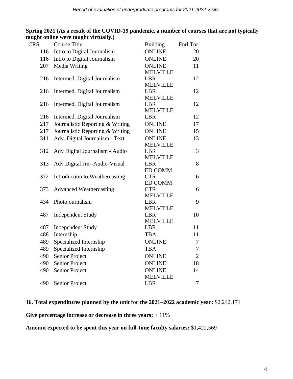| <b>CRS</b> | <b>Course Title</b>              | <b>Building</b>               | Enrl Tot       |
|------------|----------------------------------|-------------------------------|----------------|
| 116        | Intro to Digital Journalism      | <b>ONLINE</b>                 | 20             |
| 116        | Intro to Digital Journalism      | <b>ONLINE</b>                 | 20             |
| 207        | Media Writing                    | <b>ONLINE</b>                 | 11             |
|            |                                  | <b>MELVILLE</b>               |                |
| 216        | Intermed. Digital Journalism     | <b>LBR</b>                    | 12             |
|            |                                  | <b>MELVILLE</b>               |                |
| 216        | Intermed. Digital Journalism     | <b>LBR</b>                    | 12             |
|            |                                  | <b>MELVILLE</b>               |                |
| 216        | Intermed. Digital Journalism     | LBR                           | 12             |
|            |                                  | <b>MELVILLE</b>               |                |
| 216        | Intermed. Digital Journalism     | <b>LBR</b>                    | 12             |
| 217        | Journalistic Reporting & Writing | <b>ONLINE</b>                 | 17             |
| 217        | Journalistic Reporting & Writing | <b>ONLINE</b>                 | 15             |
| 311        | Adv. Digital Journalism - Text   | <b>ONLINE</b>                 | 13             |
|            |                                  | <b>MELVILLE</b>               | 3              |
| 312        | Adv Digital Journalism - Audio   | <b>LBR</b><br><b>MELVILLE</b> |                |
| 313        | Adv Digital Jrn--Audio-Visual    | <b>LBR</b>                    | 8              |
|            |                                  | <b>ED COMM</b>                |                |
| 372        | Introduction to Weathercasting   | <b>CTR</b>                    | 6              |
|            |                                  | <b>ED COMM</b>                |                |
| 373        | <b>Advanced Weathercasting</b>   | <b>CTR</b>                    | 6              |
|            |                                  | <b>MELVILLE</b>               |                |
| 434        | Photojournalism                  | <b>LBR</b>                    | 9              |
|            |                                  | <b>MELVILLE</b>               |                |
| 487        | <b>Independent Study</b>         | <b>LBR</b>                    | 10             |
|            |                                  | <b>MELVILLE</b>               |                |
| 487        | <b>Independent Study</b>         | <b>LBR</b>                    | 11             |
| 488        | Internship                       | <b>TBA</b>                    | 11             |
| 489        | Specialized Internship           | <b>ONLINE</b>                 | 7              |
| 489        | Specialized Internship           | <b>TBA</b>                    | $\tau$         |
| 490        | Senior Project                   | <b>ONLINE</b>                 | $\overline{2}$ |
| 490        | Senior Project                   | <b>ONLINE</b>                 | 18             |
| 490        | <b>Senior Project</b>            | <b>ONLINE</b>                 | 14             |
|            |                                  | <b>MELVILLE</b>               |                |
| 490        | Senior Project                   | <b>LBR</b>                    | 7              |

**Spring 2021 (As a result of the COVID-19 pandemic, a number of courses that are not typically taught online were taught virtually.)**

### **16. Total expenditures planned by the unit for the 2021–2022 academic year:** \$2,242,171

**Give percentage increase or decrease in three years:** + 11%

**Amount expected to be spent this year on full-time faculty salaries:** \$1,422,569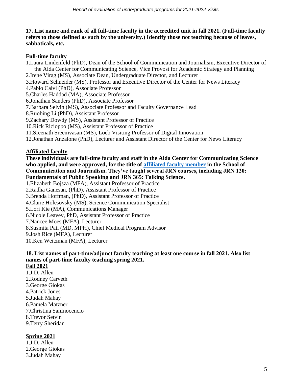### **17. List name and rank of all full-time faculty in the accredited unit in fall 2021. (Full-time faculty refers to those defined as such by the university.) Identify those not teaching because of leaves, sabbaticals, etc.**

### **Full-time faculty**

- 1.Laura Lindenfeld (PhD), Dean of the School of Communication and Journalism, Executive Director of the Alda Center for Communicating Science, Vice Provost for Academic Strategy and Planning
- 2.Irene Virag (MS), Associate Dean, Undergraduate Director, and Lecturer
- 3.Howard Schneider (MS), Professor and Executive Director of the Center for News Literacy
- 4.Pablo Calvi (PhD), Associate Professor
- 5.Charles Haddad (MA), Associate Professor
- 6.Jonathan Sanders (PhD), Associate Professor
- 7.Barbara Selvin (MS), Associate Professor and Faculty Governance Lead
- 8.Ruobing Li (PhD), Assistant Professor
- 9.Zachary Dowdy (MS), Assistant Professor of Practice
- 10.Rick Ricioppo (MS), Assistant Professor of Practice
- 11.Sreenath Sreenivasan (MS), Loeb Visiting Professor of Digital Innovation
- 12.Jonathan Anzalone (PhD), Lecturer and Assistant Director of the Center for News Literacy

# **Affiliated faculty**

**These individuals are full-time faculty and staff in the Alda Center for Communicating Science who applied, and were approved, for the title of [affiliated faculty member](https://drive.google.com/file/d/1RTazkPXfDJcNMEzeotsMol9Rz7jMfzFP/view?usp=sharing) in the School of Communication and Journalism. They've taught several JRN courses, including JRN 120: Fundamentals of Public Speaking and JRN 365: Talking Science.** 

- 1.Elizabeth Bojsza (MFA), Assistant Professor of Practice
- 2.Radha Ganesan, (PhD), Assistant Professor of Practice
- 3.Brenda Hoffman, (PhD), Assistant Professor of Practice
- 4.Claire Holesovsky (MS), Science Communication Specialist
- 5.Lori Kie (MA), Communications Manager
- 6.Nicole Leavey, PhD, Assistant Professor of Practice
- 7.Nancee Moes (MFA), Lecturer
- 8.Susmita Pati (MD, MPH), Chief Medical Program Advisor
- 9.Josh Rice (MFA), Lecturer
- 10.Ken Weitzman (MFA), Lecturer

#### **18. List names of part-time/adjunct faculty teaching at least one course in fall 2021. Also list names of part-time faculty teaching spring 2021. Fall 2021**

1.J.D. Allen 2.Rodney Carveth 3.George Giokas 4.Patrick Jones 5.Judah Mahay 6.Pamela Matzner 7.Christina SanInocencio 8.Trevor Setvin 9.Terry Sheridan

# **Spring 2021**

1.J.D. Allen 2.George Giokas 3.Judah Mahay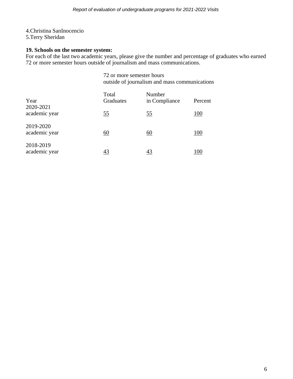# 4.Christina SanInocencio

5.Terry Sheridan

# **19. Schools on the semester system:**

For each of the last two academic years, please give the number and percentage of graduates who earned 72 or more semester hours outside of journalism and mass communications.

> 72 or more semester hours outside of journalism and mass communications

| Year                       | Total<br>Graduates | Number<br>in Compliance | Percent    |
|----------------------------|--------------------|-------------------------|------------|
| 2020-2021<br>academic year | <u>55</u>          | <u>55</u>               | <u>100</u> |
| 2019-2020<br>academic year | $\underline{60}$   | <u>60</u>               | <u>100</u> |
| 2018-2019<br>academic year | 43                 | 43                      | 100        |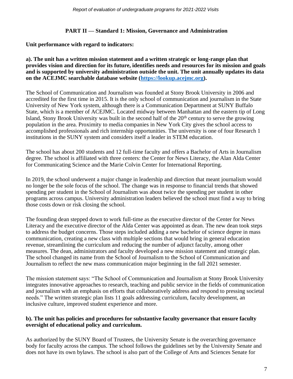# **PART II — Standard 1: Mission, Governance and Administration**

### **Unit performance with regard to indicators:**

### **a). The unit has a written mission statement and a written strategic or long-range plan that provides vision and direction for its future, identifies needs and resources for its mission and goals and is supported by university administration outside the unit. The unit annually updates its data on the ACEJMC searchable database website [\(https://lookup.acejmc.org\)](https://lookup.acejmc.org/).**

The School of Communication and Journalism was founded at Stony Brook University in 2006 and accredited for the first time in 2015. It is the only school of communication and journalism in the State University of New York system, although there is a Communication Department at SUNY Buffalo State, which is a member of ACEJMC. Located midway between Manhattan and the eastern tip of Long Island, Stony Brook University was built in the second half of the  $20<sup>th</sup>$  century to serve the growing population in the area. Proximity to media companies in New York City gives the school access to accomplished professionals and rich internship opportunities. The university is one of four Research 1 institutions in the SUNY system and considers itself a leader in STEM education.

The school has about 200 students and 12 full-time faculty and offers a Bachelor of Arts in Journalism degree. The school is affiliated with three centers: the Center for News Literacy, the Alan Alda Center for Communicating Science and the Marie Colvin Center for International Reporting.

In 2019, the school underwent a major change in leadership and direction that meant journalism would no longer be the sole focus of the school. The change was in response to financial trends that showed spending per student in the School of Journalism was about twice the spending per student in other programs across campus. University administration leaders believed the school must find a way to bring those costs down or risk closing the school.

The founding dean stepped down to work full-time as the executive director of the Center for News Literacy and the executive director of the Alda Center was appointed as dean. The new dean took steps to address the budget concerns. Those steps included adding a new bachelor of science degree in mass communication, creating a new class with multiple sections that would bring in general education revenue, streamlining the curriculum and reducing the number of adjunct faculty, among other measures. The dean, administrators and faculty developed a new mission statement and strategic plan. The school changed its name from the School of Journalism to the School of Communication and Journalism to reflect the new mass communication major beginning in the fall 2021 semester.

The mission statement says: "The School of Communication and Journalism at Stony Brook University integrates innovative approaches to research, teaching and public service in the fields of communication and journalism with an emphasis on efforts that collaboratively address and respond to pressing societal needs." The written strategic plan lists 11 goals addressing curriculum, faculty development, an inclusive culture, improved student experience and more.

### **b). The unit has policies and procedures for substantive faculty governance that ensure faculty oversight of educational policy and curriculum.**

As authorized by the SUNY Board of Trustees, the University Senate is the overarching governance body for faculty across the campus. The school follows the guidelines set by the University Senate and does not have its own bylaws. The school is also part of the College of Arts and Sciences Senate for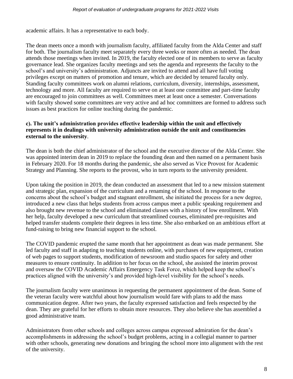academic affairs. It has a representative to each body.

The dean meets once a month with journalism faculty, affiliated faculty from the Alda Center and staff for both. The journalism faculty meet separately every three weeks or more often as needed. The dean attends those meetings when invited. In 2019, the faculty elected one of its members to serve as faculty governance lead. She organizes faculty meetings and sets the agenda and represents the faculty to the school's and university's administration. Adjuncts are invited to attend and all have full voting privileges except on matters of promotion and tenure, which are decided by tenured faculty only. Standing faculty committees work on alumni relations, curriculum, diversity, internships, assessment, technology and more. All faculty are required to serve on at least one committee and part-time faculty are encouraged to join committees as well. Committees meet at least once a semester. Conversations with faculty showed some committees are very active and ad hoc committees are formed to address such issues as best practices for online teaching during the pandemic.

### **c). The unit's administration provides effective leadership within the unit and effectively represents it in dealings with university administration outside the unit and constituencies external to the university**.

The dean is both the chief administrator of the school and the executive director of the Alda Center. She was appointed interim dean in 2019 to replace the founding dean and then named on a permanent basis in February 2020. For 18 months during the pandemic, she also served as Vice Provost for Academic Strategy and Planning. She reports to the provost, who in turn reports to the university president.

Upon taking the position in 2019, the dean conducted an assessment that led to a new mission statement and strategic plan, expansion of the curriculum and a renaming of the school. In response to the concerns about the school's budget and stagnant enrollment, she initiated the process for a new degree, introduced a new class that helps students from across campus meet a public speaking requirement and also brought new revenue to the school and eliminated classes with a history of low enrollment. With her help, faculty developed a new curriculum that streamlined courses, eliminated pre-requisites and helped transfer students complete their degrees in less time. She also embarked on an ambitious effort at fund-raising to bring new financial support to the school.

The COVID pandemic erupted the same month that her appointment as dean was made permanent. She led faculty and staff in adapting to teaching students online, with purchases of new equipment, creation of web pages to support students, modification of newsroom and studio spaces for safety and other measures to ensure continuity. In addition to her focus on the school, she assisted the interim provost and oversaw the COVID Academic Affairs Emergency Task Force, which helped keep the school's practices aligned with the university's and provided high-level visibility for the school's needs.

The journalism faculty were unanimous in requesting the permanent appointment of the dean. Some of the veteran faculty were watchful about how journalism would fare with plans to add the mass communication degree. After two years, the faculty expressed satisfaction and feels respected by the dean. They are grateful for her efforts to obtain more resources. They also believe she has assembled a good administrative team.

Administrators from other schools and colleges across campus expressed admiration for the dean's accomplishments in addressing the school's budget problems, acting in a collegial manner to partner with other schools, generating new donations and bringing the school more into alignment with the rest of the university.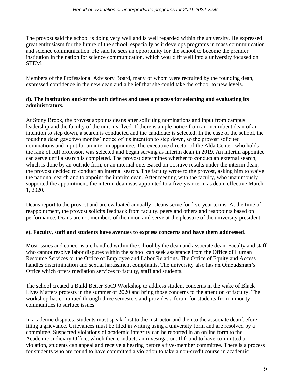The provost said the school is doing very well and is well regarded within the university. He expressed great enthusiasm for the future of the school, especially as it develops programs in mass communication and science communication. He said he sees an opportunity for the school to become the premier institution in the nation for science communication, which would fit well into a university focused on STEM.

Members of the Professional Advisory Board, many of whom were recruited by the founding dean, expressed confidence in the new dean and a belief that she could take the school to new levels.

## **d). The institution and/or the unit defines and uses a process for selecting and evaluating its administrators.**

At Stony Brook, the provost appoints deans after soliciting nominations and input from campus leadership and the faculty of the unit involved. If there is ample notice from an incumbent dean of an intention to step down, a search is conducted and the candidate is selected. In the case of the school, the founding dean gave two months' notice of his intention to step down, so the provost solicited nominations and input for an interim appointee. The executive director of the Alda Center, who holds the rank of full professor, was selected and began serving as interim dean in 2019. An interim appointee can serve until a search is completed. The provost determines whether to conduct an external search, which is done by an outside firm, or an internal one. Based on positive results under the interim dean, the provost decided to conduct an internal search. The faculty wrote to the provost, asking him to waive the national search and to appoint the interim dean. After meeting with the faculty, who unanimously supported the appointment, the interim dean was appointed to a five-year term as dean, effective March 1, 2020.

Deans report to the provost and are evaluated annually. Deans serve for five-year terms. At the time of reappointment, the provost solicits feedback from faculty, peers and others and reappoints based on performance. Deans are not members of the union and serve at the pleasure of the university president.

### **e). Faculty, staff and students have avenues to express concerns and have them addressed.**

Most issues and concerns are handled within the school by the dean and associate dean. Faculty and staff who cannot resolve labor disputes within the school can seek assistance from the Office of Human Resource Services or the Office of Employee and Labor Relations. The Office of Equity and Access handles discrimination and sexual harassment complaints. The university also has an Ombudsman's Office which offers mediation services to faculty, staff and students.

The school created a Build Better SoCJ Workshop to address student concerns in the wake of Black Lives Matters protests in the summer of 2020 and bring those concerns to the attention of faculty. The workshop has continued through three semesters and provides a forum for students from minority communities to surface issues.

In academic disputes, students must speak first to the instructor and then to the associate dean before filing a grievance. Grievances must be filed in writing using a university form and are resolved by a committee. Suspected violations of academic integrity can be reported in an online form to the Academic Judiciary Office, which then conducts an investigation. If found to have committed a violation, students can appeal and receive a hearing before a five-member committee. There is a process for students who are found to have committed a violation to take a non-credit course in academic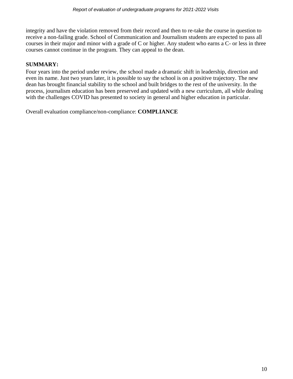integrity and have the violation removed from their record and then to re-take the course in question to receive a non-failing grade. School of Communication and Journalism students are expected to pass all courses in their major and minor with a grade of C or higher. Any student who earns a C- or less in three courses cannot continue in the program. They can appeal to the dean.

# **SUMMARY:**

Four years into the period under review, the school made a dramatic shift in leadership, direction and even its name. Just two years later, it is possible to say the school is on a positive trajectory. The new dean has brought financial stability to the school and built bridges to the rest of the university. In the process, journalism education has been preserved and updated with a new curriculum, all while dealing with the challenges COVID has presented to society in general and higher education in particular.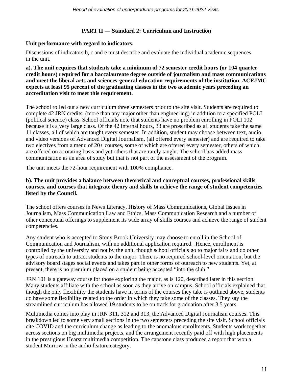## **PART II — Standard 2: Curriculum and Instruction**

### **Unit performance with regard to indicators:**

Discussions of indicators b, c and e must describe and evaluate the individual academic sequences in the unit.

**a). The unit requires that students take a minimum of 72 semester credit hours (or 104 quarter credit hours) required for a baccalaureate degree outside of journalism and mass communications and meet the liberal arts and sciences-general education requirements of the institution. ACEJMC expects at least 95 percent of the graduating classes in the two academic years preceding an accreditation visit to meet this requirement.**

The school rolled out a new curriculum three semesters prior to the site visit. Students are required to complete 42 JRN credits, (more than any major other than engineering) in addition to a specified POLI (political science) class. School officials note that students have no problem enrolling in POLI 102 because it is a very large class. Of the 42 internal hours, 33 are proscribed as all students take the same 11 classes, all of which are taught every semester. In addition, student may choose between text, audio and video versions of Advanced Digital Journalism, (all offered every semester) and are required to take two electives from a menu of 20+ courses, some of which are offered every semester, others of which are offered on a rotating basis and yet others that are rarely taught. The school has added mass communication as an area of study but that is not part of the assessment of the program.

The unit meets the 72-hour requirement with 100% compliance.

### **b). The unit provides a balance between theoretical and conceptual courses, professional skills courses, and courses that integrate theory and skills to achieve the range of student competencies listed by the Council.**

The school offers courses in News Literacy, History of Mass Communications, Global Issues in Journalism, Mass Communication Law and Ethics, Mass Communication Research and a number of other conceptual offerings to supplement its wide array of skills courses and achieve the range of student competencies.

Any student who is accepted to Stony Brook University may choose to enroll in the School of Communication and Journalism, with no additional application required. Hence, enrollment is controlled by the university and not by the unit, though school officials go to major fairs and do other types of outreach to attract students to the major. There is no required school-level orientation, but the advisory board stages social events and takes part in other forms of outreach to new students. Yet, at present, there is no premium placed on a student being accepted "into the club."

JRN 101 is a gateway course for those exploring the major, as is 120, described later in this section. Many students affiliate with the school as soon as they arrive on campus. School officials explained that though the only flexibility the students have in terms of the courses they take is outlined above, students do have some flexibility related to the order in which they take some of the classes. They say the streamlined curriculum has allowed 19 students to be on track for graduation after 3.5 years.

Multimedia comes into play in JRN 311, 312 and 313, the Advanced Digital Journalism courses. This breakdown led to some very small sections in the two semesters preceding the site visit. School officials cite COVID and the curriculum change as leading to the anomalous enrollments. Students work together across sections on big multimedia projects, and the arrangement recently paid off with high placements in the prestigious Hearst multimedia competition. The capstone class produced a report that won a student Murrow in the audio feature category.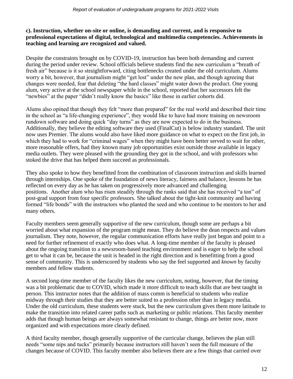### **c). Instruction, whether on-site or online, is demanding and current, and is responsive to professional expectations of digital, technological and multimedia competencies. Achievements in teaching and learning are recognized and valued.**

Despite the constraints brought on by COVID-19, instruction has been both demanding and current during the period under review. School officials believe students find the new curriculum a "breath of fresh air" because is it so straightforward, citing bottlenecks created under the old curriculum. Alums worry a bit, however, that journalism might "get lost" under the new plan, and though agreeing that changes were needed, fear that deleting "the hard classes" might water down the product. One young alum, very active at the school newspaper while in the school, reported that her successors felt the "newbies" at the paper "didn't really know the basics" like those in earlier cohorts did.

Alums also opined that though they felt "more than prepared" for the real world and described their time in the school as "a life-changing experience", they would like to have had more training on newsroom rundown software and doing quick "day turns" as they are now expected to do in the business. Additionally, they believe the editing software they used (FinalCut) is below industry standard. The unit now uses Premier. The alums would also have liked more guidance on what to expect on the first job, in which they had to work for "criminal wages" when they might have been better served to wait for other, more reasonable offers, had they known many job opportunities exist outside those available in legacy media outlets. They were pleased with the grounding they got in the school, and with professors who stoked the drive that has helped them succeed as professionals.

They also spoke to how they benefitted from the combination of classroom instruction and skills learned through internships. One spoke of the foundation of news literacy, fairness and balance, lessons he has reflected on every day as he has taken on progressively more advanced and challenging positions. Another alum who has risen steadily through the ranks said that she has received "a ton" of post-grad support from four specific professors. She talked about the tight-knit community and having formed "life bonds" with the instructors who planted the seed and who continue to be mentors to her and many others.

Faculty members seem generally supportive of the new curriculum, though some are perhaps a bit worried about what expansion of the program might mean. They do believe the dean respects and values journalism. They note, however, the regular communication efforts have really just begun and point to a need for further refinement of exactly who does what. A long-time member of the faculty is pleased about the ongoing transition to a newsroom-based teaching environment and is eager to help the school get to what it can be, because the unit is headed in the right direction and is benefitting from a good sense of community. This is underscored by students who say the feel supported and *known* by faculty members and fellow students.

A second long-time member of the faculty likes the new curriculum, noting, however, that the timing was a bit problematic due to COVID, which made it more difficult to teach skills that are best taught in person. This instructor notes that the addition of mass comm is beneficial to students who realize midway through their studies that they are better suited to a profession other than in legacy media. Under the old curriculum, these students were stuck, but the new curriculum gives them more latitude to make the transition into related career paths such as marketing or public relations. This faculty member adds that though human beings are always somewhat resistant to change, things are better now, more organized and with expectations more clearly defined.

A third faculty member, though generally supportive of the curricular change, believes the plan still needs "some nips and tucks" primarily because instructors still haven't seen the full measure of the changes because of COVID. This faculty member also believes there are a few things that carried over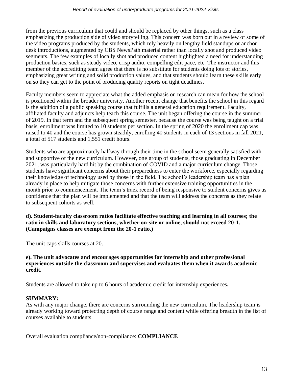from the previous curriculum that could and should be replaced by other things, such as a class emphasizing the production side of video storytelling. This concern was born out in a review of some of the video programs produced by the students, which rely heavily on lengthy field standups or anchor desk introductions, augmented by CBS NewsPath material rather than locally shot and produced video segments. The few examples of locally shot and produced content highlighted a need for understanding production basics, such as steady video, crisp audio, compelling edit pace, etc. The instructor and this member of the accrediting team agree that there is no substitute for students doing lots of stories, emphasizing great writing and solid production values, and that students should learn these skills early on so they can get to the point of producing quality reports on tight deadlines.

Faculty members seem to appreciate what the added emphasis on research can mean for how the school is positioned within the broader university. Another recent change that benefits the school in this regard is the addition of a public speaking course that fulfills a general education requirement. Faculty, affiliated faculty and adjuncts help teach this course. The unit began offering the course in the summer of 2019. In that term and the subsequent spring semester, because the course was being taught on a trial basis, enrollment was limited to 10 students per section. In the spring of 2020 the enrollment cap was raised to 40 and the course has grown steadily, enrolling 40 students in each of 13 sections in fall 2021, a total of 517 students and 1,551 credit hours.

Students who are approximately halfway through their time in the school seem generally satisfied with and supportive of the new curriculum. However, one group of students, those graduating in December 2021, was particularly hard hit by the combination of COVID and a major curriculum change. Those students have significant concerns about their preparedness to enter the workforce, especially regarding their knowledge of technology used by those in the field. The school's leadership team has a plan already in place to help mitigate those concerns with further extensive training opportunities in the month prior to commencement. The team's track record of being responsive to student concerns gives us confidence that the plan will be implemented and that the team will address the concerns as they relate to subsequent cohorts as well.

**d). Student-faculty classroom ratios facilitate effective teaching and learning in all courses; the ratio in skills and laboratory sections, whether on-site or online, should not exceed 20-1. (Campaigns classes are exempt from the 20-1 ratio.)** 

The unit caps skills courses at 20.

### **e). The unit advocates and encourages opportunities for internship and other professional experiences outside the classroom and supervises and evaluates them when it awards academic credit.**

Students are allowed to take up to 6 hours of academic credit for internship experiences**.**

# **SUMMARY:**

As with any major change, there are concerns surrounding the new curriculum. The leadership team is already working toward protecting depth of course range and content while offering breadth in the list of courses available to students.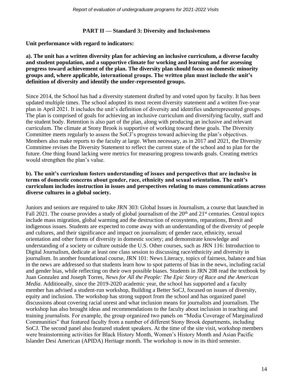### **PART II — Standard 3: Diversity and Inclusiveness**

**Unit performance with regard to indicators:**

### **a). The unit has a written diversity plan for achieving an inclusive curriculum, a diverse faculty and student population, and a supportive climate for working and learning and for assessing progress toward achievement of the plan. The diversity plan should focus on domestic minority groups and, where applicable, international groups. The written plan must include the unit's definition of diversity and identify the under-represented groups.**

Since 2014, the School has had a diversity statement drafted by and voted upon by faculty. It has been updated multiple times. The school adopted its most recent diversity statement and a written five-year plan in April 2021. It includes the unit's definition of diversity and identifies underrepresented groups. The plan is comprised of goals for achieving an inclusive curriculum and diversifying faculty, staff and the student body. Retention is also part of the plan, along with producing an inclusive and relevant curriculum. The climate at Stony Brook is supportive of working toward these goals. The Diversity Committee meets regularly to assess the SoCJ's progress toward achieving the plan's objectives. Members also make reports to the faculty at large. When necessary, as in 2017 and 2021, the Diversity Committee revises the Diversity Statement to reflect the current state of the school and to plan for the future. One thing found lacking were metrics for measuring progress towards goals. Creating metrics would strengthen the plan's value.

### **b). The unit's curriculum fosters understanding of issues and perspectives that are inclusive in terms of domestic concerns about gender, race, ethnicity and sexual orientation. The unit's curriculum includes instruction in issues and perspectives relating to mass communications across diverse cultures in a global society.**

Juniors and seniors are required to take JRN 303: Global Issues in Journalism, a course that launched in Fall 2021. The course provides a study of global journalism of the  $20<sup>th</sup>$  and  $21<sup>st</sup>$  centuries. Central topics include mass migration, global warming and the destruction of ecosystems, reparations, Brexit and indigenous issues. Students are expected to come away with an understanding of the diversity of people and cultures, and their significance and impact on journalism; of gender race, ethnicity, sexual orientation and other forms of diversity in domestic society; and demonstrate knowledge and understanding of a society or culture outside the U.S. Other courses, such as JRN 116: Introduction to Digital Journalism, dedicate at least one class session to discussing race/ethnicity and diversity in journalism. In another foundational course, JRN 101: News Literacy, topics of fairness, balance and bias in the news are addressed so that students learn how to spot patterns of bias in the news, including racial and gender bias, while reflecting on their own possible biases. Students in JRN 208 read the textbook by Juan Gonzalez and Joseph Torres, *News for All the People: The Epic Story of Race and the American Media*. Additionally, since the 2019-2020 academic year, the school has supported and a faculty member has advised a student-run workshop, Building a Better SoCJ, focused on issues of diversity, equity and inclusion. The workshop has strong support from the school and has organized panel discussions about covering racial unrest and what inclusion means for journalists and journalism. The workshop has also brought ideas and recommendations to the faculty about inclusion in teaching and training journalists. For example, the group organized two panels on "Media Coverage of Marginalized Communities" that featured faculty from a number of different Stony Brook departments, including SoCJ. The second panel also featured student speakers. At the time of the site visit, workshop members were brainstorming activities for Black History Month, Women's History Month and Asian Pacific Islander Desi American (APIDA) Heritage month. The workshop is now in its third semester.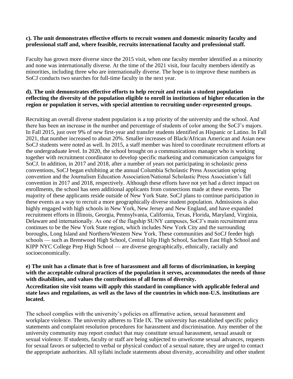### **c). The unit demonstrates effective efforts to recruit women and domestic minority faculty and professional staff and, where feasible, recruits international faculty and professional staff.**

Faculty has grown more diverse since the 2015 visit, when one faculty member identified as a minority and none was internationally diverse. At the time of the 2021 visit, four faculty members identify as minorities, including three who are internationally diverse. The hope is to improve these numbers as SoCJ conducts two searches for full-time faculty in the next year.

### **d). The unit demonstrates effective efforts to help recruit and retain a student population reflecting the diversity of the population eligible to enroll in institutions of higher education in the region or population it serves, with special attention to recruiting under-represented groups.**

Recruiting an overall diverse student population is a top priority of the university and the school. And there has been an increase in the number and percentage of students of color among the SoCJ's majors. In Fall 2015, just over 9% of new first-year and transfer students identified as Hispanic or Latino. In Fall 2021, that number increased to about 20%. Smaller increases of Black/African American and Asian new SoCJ students were noted as well. In 2015, a staff member was hired to coordinate recruitment efforts at the undergraduate level. In 2020, the school brought on a communications manager who is working together with recruitment coordinator to develop specific marketing and communication campaigns for SoCJ. In addition, in 2017 and 2018, after a number of years not participating in scholastic press conventions, SoCJ began exhibiting at the annual Columbia Scholastic Press Association spring convention and the Journalism Education Association/National Scholastic Press Association's fall convention in 2017 and 2018, respectively. Although these efforts have not yet had a direct impact on enrollments, the school has seen additional applicants from connections made at these events. The majority of these applicants reside outside of New York State. SoCJ plans to continue participation in these events as a way to recruit a more geographically diverse student population. Admissions is also highly engaged with high schools in New York, New Jersey and New England, and have expanded recruitment efforts in Illinois, Georgia, Pennsylvania, California, Texas, Florida, Maryland, Virginia, Delaware and internationally. As one of the flagship SUNY campuses, SoCJ's main recruitment area continues to be the New York State region, which includes New York City and the surrounding boroughs, Long Island and Northern/Western New York. These communities and SoCJ feeder high schools — such as Brentwood High School, Central Islip High School, Sachem East High School and KIPP NYC College Prep High School — are diverse geographically, ethnically, racially and socioeconomically.

**e) The unit has a climate that is free of harassment and all forms of discrimination, in keeping with the acceptable cultural practices of the population it serves, accommodates the needs of those with disabilities, and values the contributions of all forms of diversity. Accreditation site visit teams will apply this standard in compliance with applicable federal and state laws and regulations, as well as the laws of the countries in which non-U.S. institutions are located.**

The school complies with the university's policies on affirmative action, sexual harassment and workplace violence. The university adheres to Title IX. The university has established specific policy statements and complaint resolution procedures for harassment and discrimination. Any member of the university community may report conduct that may constitute sexual harassment, sexual assault or sexual violence. If students, faculty or staff are being subjected to unwelcome sexual advances, requests for sexual favors or subjected to verbal or physical conduct of a sexual nature, they are urged to contact the appropriate authorities. All syllabi include statements about diversity, accessibility and other student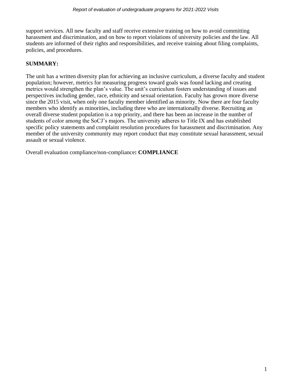support services. All new faculty and staff receive extensive training on how to avoid committing harassment and discrimination, and on how to report violations of university policies and the law. All students are informed of their rights and responsibilities, and receive training about filing complaints, policies, and procedures.

# **SUMMARY:**

The unit has a written diversity plan for achieving an inclusive curriculum, a diverse faculty and student population; however, metrics for measuring progress toward goals was found lacking and creating metrics would strengthen the plan's value. The unit's curriculum fosters understanding of issues and perspectives including gender, race, ethnicity and sexual orientation. Faculty has grown more diverse since the 2015 visit, when only one faculty member identified as minority. Now there are four faculty members who identify as minorities, including three who are internationally diverse. Recruiting an overall diverse student population is a top priority, and there has been an increase in the number of students of color among the SoCJ's majors. The university adheres to Title IX and has established specific policy statements and complaint resolution procedures for harassment and discrimination. Any member of the university community may report conduct that may constitute sexual harassment, sexual assault or sexual violence.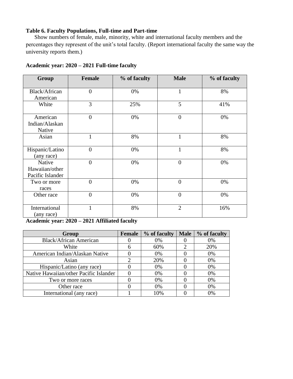# **Table 6. Faculty Populations, Full-time and Part-time**

Show numbers of female, male, minority, white and international faculty members and the percentages they represent of the unit's total faculty. (Report international faculty the same way the university reports them.)

| Group                                        | <b>Female</b>  | % of faculty | <b>Male</b>    | % of faculty |
|----------------------------------------------|----------------|--------------|----------------|--------------|
| Black/African<br>American                    | $\overline{0}$ | 0%           | $\mathbf{1}$   | 8%           |
| White                                        | 3              | 25%          | 5              | 41%          |
| American<br>Indian/Alaskan<br>Native         | $\overline{0}$ | 0%           | $\overline{0}$ | 0%           |
| Asian                                        | $\mathbf{1}$   | 8%           | $\mathbf{1}$   | 8%           |
| Hispanic/Latino<br>(any race)                | $\overline{0}$ | 0%           | $\mathbf{1}$   | 8%           |
| Native<br>Hawaiian/other<br>Pacific Islander | $\overline{0}$ | 0%           | $\overline{0}$ | 0%           |
| Two or more<br>races                         | $\overline{0}$ | 0%           | $\overline{0}$ | 0%           |
| Other race                                   | $\overline{0}$ | 0%           | $\overline{0}$ | 0%           |
| International<br>(any race)                  | $\mathbf{1}$   | 8%           | $\overline{2}$ | 16%          |

### **Academic year: 2020 – 2021 Full-time faculty**

**Academic year: 2020 – 2021 Affiliated faculty**

| Group                                  | Female | % of faculty | Male                        | % of faculty |
|----------------------------------------|--------|--------------|-----------------------------|--------------|
| <b>Black/African American</b>          |        | 0%           |                             | 0%           |
| White                                  | 6      | 60%          | $\mathcal{D}_{\mathcal{A}}$ | 20%          |
| American Indian/Alaskan Native         |        | 0%           |                             | 0%           |
| Asian                                  | റ      | 20%          |                             | 0%           |
| Hispanic/Latino (any race)             |        | 0%           |                             | 0%           |
| Native Hawaiian/other Pacific Islander |        | 0%           |                             | 0%           |
| Two or more races                      |        | 0%           |                             | 0%           |
| Other race                             |        | 0%           |                             | 0%           |
| International (any race)               |        | 10%          |                             | 0%           |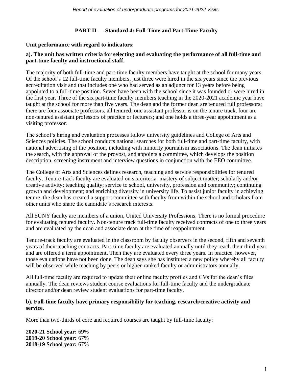# **PART II — Standard 4: Full-Time and Part-Time Faculty**

### **Unit performance with regard to indicators:**

### **a). The unit has written criteria for selecting and evaluating the performance of all full-time and part-time faculty and instructional staff**.

The majority of both full-time and part-time faculty members have taught at the school for many years. Of the school's 12 full-time faculty members, just three were hired in the six years since the previous accreditation visit and that includes one who had served as an adjunct for 13 years before being appointed to a full-time position. Seven have been with the school since it was founded or were hired in the first year. Three of the six part-time faculty members teaching in the 2020-2021 academic year have taught at the school for more than five years. The dean and the former dean are tenured full professors; there are four associate professors, all tenured; one assistant professor is on the tenure track, four are non-tenured assistant professors of practice or lecturers; and one holds a three-year appointment as a visiting professor.

The school's hiring and evaluation processes follow university guidelines and College of Arts and Sciences policies. The school conducts national searches for both full-time and part-time faculty, with national advertising of the position, including with minority journalism associations. The dean initiates the search, with the approval of the provost, and appoints a committee, which develops the position description, screening instrument and interview questions in conjunction with the EEO committee.

The College of Arts and Sciences defines research, teaching and service responsibilities for tenured faculty. Tenure-track faculty are evaluated on six criteria: mastery of subject matter; scholarly and/or creative activity; teaching quality; service to school, university, profession and community; continuing growth and development; and enriching diversity in university life. To assist junior faculty in achieving tenure, the dean has created a support committee with faculty from within the school and scholars from other units who share the candidate's research interests.

All SUNY faculty are members of a union, United University Professions. There is no formal procedure for evaluating tenured faculty. Non-tenure track full-time faculty received contracts of one to three years and are evaluated by the dean and associate dean at the time of reappointment.

Tenure-track faculty are evaluated in the classroom by faculty observers in the second, fifth and seventh years of their teaching contracts. Part-time faculty are evaluated annually until they reach their third year and are offered a term appointment. Then they are evaluated every three years. In practice, however, those evaluations have not been done. The dean says she has instituted a new policy whereby all faculty will be observed while teaching by peers or higher-ranked faculty or administrators annually.

All full-time faculty are required to update their online faculty profiles and CVs for the dean's files annually. The dean reviews student course evaluations for full-time faculty and the undergraduate director and/or dean review student evaluations for part-time faculty.

### **b). Full-time faculty have primary responsibility for teaching, research/creative activity and service.**

More than two-thirds of core and required courses are taught by full-time faculty:

**2020-21 School year:** 69% **2019-20 School year:** 67% **2018-19 School year:** 67%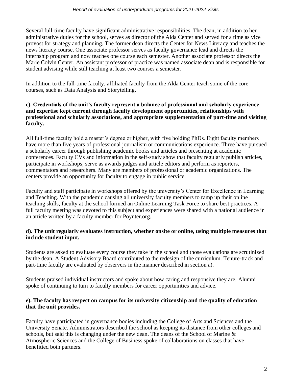Several full-time faculty have significant administrative responsibilities. The dean, in addition to her administrative duties for the school, serves as director of the Alda Center and served for a time as vice provost for strategy and planning. The former dean directs the Center for News Literacy and teaches the news literacy course. One associate professor serves as faculty governance lead and directs the internship program and now teaches one course each semester. Another associate professor directs the Marie Colvin Center. An assistant professor of practice was named associate dean and is responsible for student advising while still teaching at least two courses a semester.

In addition to the full-time faculty, affiliated faculty from the Alda Center teach some of the core courses, such as Data Analysis and Storytelling.

### **c). Credentials of the unit's faculty represent a balance of professional and scholarly experience and expertise kept current through faculty development opportunities, relationships with professional and scholarly associations, and appropriate supplementation of part-time and visiting faculty.**

All full-time faculty hold a master's degree or higher, with five holding PhDs. Eight faculty members have more than five years of professional journalism or communications experience. Three have pursued a scholarly career through publishing academic books and articles and presenting at academic conferences. Faculty CVs and information in the self-study show that faculty regularly publish articles, participate in workshops, serve as awards judges and article editors and perform as reporters, commentators and researchers. Many are members of professional or academic organizations. The centers provide an opportunity for faculty to engage in public service.

Faculty and staff participate in workshops offered by the university's Center for Excellence in Learning and Teaching. With the pandemic causing all university faculty members to ramp up their online teaching skills, faculty at the school formed an Online Learning Task Force to share best practices. A full faculty meeting was devoted to this subject and experiences were shared with a national audience in an article written by a faculty member for Poynter.org.

### **d). The unit regularly evaluates instruction, whether onsite or online, using multiple measures that include student input.**

Students are asked to evaluate every course they take in the school and those evaluations are scrutinized by the dean. A Student Advisory Board contributed to the redesign of the curriculum. Tenure-track and part-time faculty are evaluated by observers in the manner described in section a).

Students praised individual instructors and spoke about how caring and responsive they are. Alumni spoke of continuing to turn to faculty members for career opportunities and advice.

### **e). The faculty has respect on campus for its university citizenship and the quality of education that the unit provides.**

Faculty have participated in governance bodies including the College of Arts and Sciences and the University Senate. Administrators described the school as keeping its distance from other colleges and schools, but said this is changing under the new dean. The deans of the School of Marine & Atmospheric Sciences and the College of Business spoke of collaborations on classes that have benefitted both partners.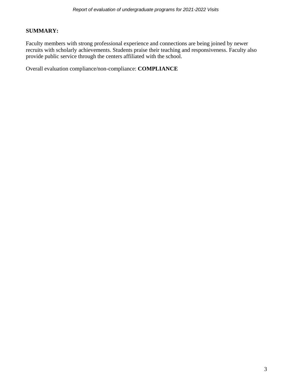### **SUMMARY:**

Faculty members with strong professional experience and connections are being joined by newer recruits with scholarly achievements. Students praise their teaching and responsiveness. Faculty also provide public service through the centers affiliated with the school.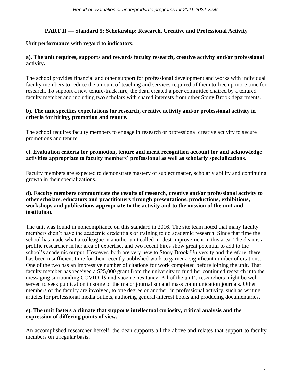# **PART II — Standard 5: Scholarship: Research, Creative and Professional Activity**

# **Unit performance with regard to indicators:**

# **a). The unit requires, supports and rewards faculty research, creative activity and/or professional activity.**

The school provides financial and other support for professional development and works with individual faculty members to reduce the amount of teaching and services required of them to free up more time for research. To support a new tenure-track hire, the dean created a peer committee chaired by a tenured faculty member and including two scholars with shared interests from other Stony Brook departments.

# **b). The unit specifies expectations for research, creative activity and/or professional activity in criteria for hiring, promotion and tenure.**

The school requires faculty members to engage in research or professional creative activity to secure promotions and tenure.

## **c). Evaluation criteria for promotion, tenure and merit recognition account for and acknowledge activities appropriate to faculty members' professional as well as scholarly specializations.**

Faculty members are expected to demonstrate mastery of subject matter, scholarly ability and continuing growth in their specializations.

### **d). Faculty members communicate the results of research, creative and/or professional activity to other scholars, educators and practitioners through presentations, productions, exhibitions, workshops and publications appropriate to the activity and to the mission of the unit and institution.**

The unit was found in noncompliance on this standard in 2016. The site team noted that many faculty members didn't have the academic credentials or training to do academic research. Since that time the school has made what a colleague in another unit called modest improvement in this area. The dean is a prolific researcher in her area of expertise, and two recent hires show great potential to add to the school's academic output. However, both are very new to Stony Brook University and therefore, there has been insufficient time for their recently published work to garner a significant number of citations. One of the two has an impressive number of citations for work completed before joining the unit. That faculty member has received a \$25,000 grant from the university to fund her continued research into the messaging surrounding COVID-19 and vaccine hesitancy. All of the unit's researchers might be well served to seek publication in some of the major journalism and mass communication journals. Other members of the faculty are involved, to one degree or another, in professional activity, such as writing articles for professional media outlets, authoring general-interest books and producing documentaries.

# **e). The unit fosters a climate that supports intellectual curiosity, critical analysis and the expression of differing points of view.**

An accomplished researcher herself, the dean supports all the above and relates that support to faculty members on a regular basis.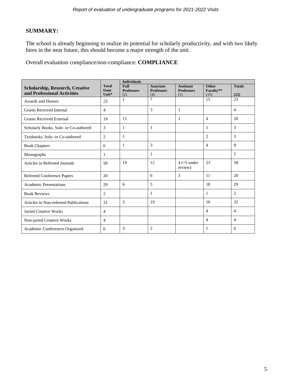# **SUMMARY:**

The school is already beginning to realize its potential for scholarly productivity, and with two likely hires in the near future, this should become a major strength of the unit.

|                                        |                      | <b>Individuals</b>        |                                       |                                       |                           |                |
|----------------------------------------|----------------------|---------------------------|---------------------------------------|---------------------------------------|---------------------------|----------------|
| <b>Scholarship, Research, Creative</b> | <b>Total</b><br>from | Full<br><b>Professors</b> | <b>Associate</b><br><b>Professors</b> | <b>Assistant</b><br><b>Professors</b> | <b>Other</b><br>Faculty** | <b>Totals</b>  |
| and Professional Activities            | Unit*                | (2)                       | (4)                                   | (1)                                   | (15)                      | (22)           |
| Awards and Honors                      | 23                   | $\mathbf{1}$              | $\overline{7}$                        |                                       | 15                        | 23             |
| <b>Grants Received Internal</b>        | $\overline{4}$       |                           | 3                                     | $\mathbf{1}$                          |                           | $\overline{4}$ |
| <b>Grants Received External</b>        | 19                   | 15                        |                                       | 1                                     | $\overline{4}$            | 20             |
| Scholarly Books, Sole- or Co-authored  | 3                    | $\mathbf{1}$              | 1                                     |                                       | 1                         | 3              |
| Textbooks, Sole- or Co-authored        | $\overline{2}$       | 1                         |                                       |                                       | $\overline{2}$            | 3              |
| <b>Book Chapters</b>                   | 6                    | $\mathbf{1}$              | 3                                     |                                       | $\overline{4}$            | 8              |
| Monographs                             | 1                    |                           | 1                                     |                                       |                           | 1              |
| Articles in Refereed Journals          | 50                   | 19                        | 12                                    | $4 (+5$ under<br>review)              | 23                        | 58             |
| Refereed Conference Papers             | 20                   |                           | 6                                     | 3                                     | 11                        | 20             |
| <b>Academic Presentations</b>          | 29                   | 6                         | 5                                     |                                       | 18                        | 29             |
| <b>Book Reviews</b>                    | 2                    |                           | 1                                     |                                       | 1                         | $\overline{2}$ |
| Articles in Non-refereed Publications  | 31                   | 3                         | 19                                    |                                       | 10                        | 32             |
| <b>Juried Creative Works</b>           | $\overline{4}$       |                           |                                       |                                       | $\overline{4}$            | $\overline{4}$ |
| Non-juried Creative Works              | $\overline{4}$       |                           |                                       |                                       | $\overline{4}$            | $\overline{4}$ |
| Academic Conferences Organized         | 6                    | 3                         | 2                                     |                                       | 1                         | 6              |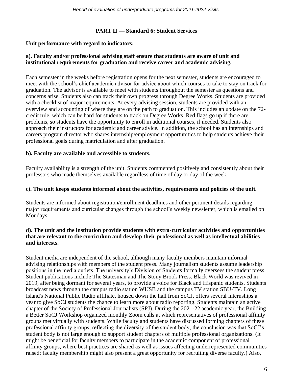### **PART II — Standard 6: Student Services**

### **Unit performance with regard to indicators:**

### **a). Faculty and/or professional advising staff ensure that students are aware of unit and institutional requirements for graduation and receive career and academic advising.**

Each semester in the weeks before registration opens for the next semester, students are encouraged to meet with the school's chief academic advisor for advice about which courses to take to stay on track for graduation. The advisor is available to meet with students throughout the semester as questions and concerns arise. Students also can track their own progress through Degree Works. Students are provided with a checklist of major requirements. At every advising session, students are provided with an overview and accounting of where they are on the path to graduation. This includes an update on the 72 credit rule, which can be hard for students to track on Degree Works. Red flags go up if there are problems, so students have the opportunity to enroll in additional courses, if needed. Students also approach their instructors for academic and career advice. In addition, the school has an internships and careers program director who shares internship/employment opportunities to help students achieve their professional goals during matriculation and after graduation.

### **b). Faculty are available and accessible to students.**

Faculty availability is a strength of the unit. Students commented positively and consistently about their professors who made themselves available regardless of time of day or day of the week.

### **c). The unit keeps students informed about the activities, requirements and policies of the unit.**

Students are informed about registration/enrollment deadlines and other pertinent details regarding major requirements and curricular changes through the school's weekly newsletter, which is emailed on Mondays.

### **d). The unit and the institution provide students with extra-curricular activities and opportunities that are relevant to the curriculum and develop their professional as well as intellectual abilities and interests.**

Student media are independent of the school, although many faculty members maintain informal advising relationships with members of the student press. Many journalism students assume leadership positions in the media outlets. The university's Division of Students formally oversees the student press. Student publications include The Statesman and The Stony Brook Press. Black World was revived in 2019, after being dormant for several years, to provide a voice for Black and Hispanic students. Students broadcast news through the campus radio station WUSB and the campus TV station SBU-TV. Long Island's National Public Radio affiliate, housed down the hall from SoCJ, offers several internships a year to give SoCJ students the chance to learn more about radio reporting. Students maintain an active chapter of the Society of Professional Journalists (SPJ). During the 2021-22 academic year, the Building a Better SoCJ Workshop organized monthly Zoom calls at which representatives of professional affinity groups met virtually with students. While faculty and students have discussed forming chapters of these professional affinity groups, reflecting the diversity of the student body, the conclusion was that SoCJ's student body is not large enough to support student chapters of multiple professional organizations. (It might be beneficial for faculty members to participate in the academic component of professional affinity groups, where best practices are shared as well as issues affecting underrepresented communities raised; faculty membership might also present a great opportunity for recruiting diverse faculty.) Also,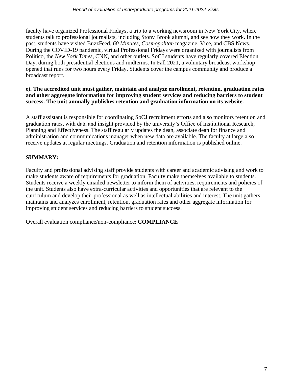faculty have organized Professional Fridays, a trip to a working newsroom in New York City, where students talk to professional journalists, including Stony Brook alumni, and see how they work. In the past, students have visited BuzzFeed, *60 Minutes*, *Cosmopolitan* magazine, Vice, and CBS News. During the COVID-19 pandemic, virtual Professional Fridays were organized with journalists from Politico, the *New York Times*, CNN, and other outlets. SoCJ students have regularly covered Election Day, during both presidential elections and midterms. In Fall 2021, a voluntary broadcast workshop opened that runs for two hours every Friday. Students cover the campus community and produce a broadcast report.

### **e). The accredited unit must gather, maintain and analyze enrollment, retention, graduation rates and other aggregate information for improving student services and reducing barriers to student success. The unit annually publishes retention and graduation information on its website.**

A staff assistant is responsible for coordinating SoCJ recruitment efforts and also monitors retention and graduation rates, with data and insight provided by the university's Office of Institutional Research, Planning and Effectiveness. The staff regularly updates the dean, associate dean for finance and administration and communications manager when new data are available. The faculty at large also receive updates at regular meetings. Graduation and retention information is published online.

# **SUMMARY:**

Faculty and professional advising staff provide students with career and academic advising and work to make students aware of requirements for graduation. Faculty make themselves available to students. Students receive a weekly emailed newsletter to inform them of activities, requirements and policies of the unit. Students also have extra-curricular activities and opportunities that are relevant to the curriculum and develop their professional as well as intellectual abilities and interest. The unit gathers, maintains and analyzes enrollment, retention, graduation rates and other aggregate information for improving student services and reducing barriers to student success.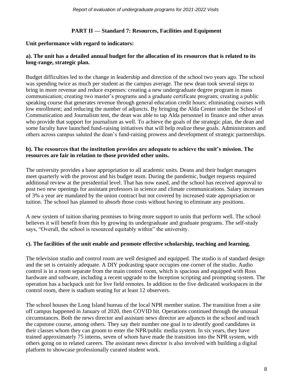# **PART II — Standard 7: Resources, Facilities and Equipment**

### **Unit performance with regard to indicators:**

## **a). The unit has a detailed annual budget for the allocation of its resources that is related to its long-range, strategic plan.**

Budget difficulties led to the change in leadership and direction of the school two years ago. The school was spending twice as much per student as the campus average. The new dean took several steps to bring in more revenue and reduce expenses: creating a new undergraduate degree program in mass communication; creating two master's programs and a graduate certificate program; creating a public speaking course that generates revenue through general education credit hours; eliminating courses with low enrollment; and reducing the number of adjuncts. By bringing the Alda Center under the School of Communication and Journalism tent, the dean was able to tap Alda personnel in finance and other areas who provide that support for journalism as well. To achieve the goals of the strategic plan, the dean and some faculty have launched fund-raising initiatives that will help realize these goals. Administrators and others across campus saluted the dean's fund-raising prowess and development of strategic partnerships.

### **b). The resources that the institution provides are adequate to achieve the unit's mission. The resources are fair in relation to those provided other units.**

The university provides a base appropriation to all academic units. Deans and their budget managers meet quarterly with the provost and his budget team. During the pandemic, budget requests required additional review at the presidential level. That has now eased, and the school has received approval to post two new openings for assistant professors in science and climate communications. Salary increases of 3% a year are mandated by the union contract but not covered by increased state appropriation or tuition. The school has planned to absorb those costs without having to eliminate any positions.

A new system of tuition sharing promises to bring more support to units that perform well. The school believes it will benefit from this by growing its undergraduate and graduate programs. The self-study says, "Overall, the school is resourced equitably within" the university.

### **c). The facilities of the unit enable and promote effective scholarship, teaching and learning.**

The television studio and control room are well designed and equipped. The studio is of standard design and the set is certainly adequate. A DIY podcasting space occupies one corner of the studio. Audio control is in a room separate from the main control room, which is spacious and equipped with Ross hardware and software, including a recent upgrade to the Inception scripting and prompting system. The operation has a backpack unit for live field remotes. In addition to the five dedicated workspaces in the control room, there is stadium seating for at least 12 observers.

The school houses the Long Island bureau of the local NPR member station. The transition from a site off campus happened in January of 2020, then COVID hit. Operations continued through the unusual circumstances. Both the news director and assistant news director are adjuncts in the school and teach the capstone course, among others. They say their number one goal is to identify good candidates in their classes whom they can groom to enter the NPR/public media system. In six years, they have trained approximately 75 interns, seven of whom have made the transition into the NPR system, with others going on to related careers. The assistant news director is also involved with building a digital platform to showcase professionally curated student work.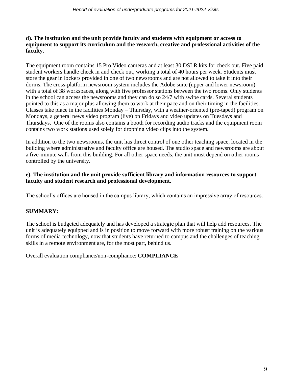# **d). The institution and the unit provide faculty and students with equipment or access to equipment to support its curriculum and the research, creative and professional activities of the faculty**.

The equipment room contains 15 Pro Video cameras and at least 30 DSLR kits for check out. Five paid student workers handle check in and check out, working a total of 40 hours per week. Students must store the gear in lockers provided in one of two newsrooms and are not allowed to take it into their dorms. The cross-platform newsroom system includes the Adobe suite (upper and lower newsroom) with a total of 38 workspaces, along with five professor stations between the two rooms. Only students in the school can access the newsrooms and they can do so 24/7 with swipe cards. Several students pointed to this as a major plus allowing them to work at their pace and on their timing in the facilities. Classes take place in the facilities Monday – Thursday, with a weather-oriented (pre-taped) program on Mondays, a general news video program (live) on Fridays and video updates on Tuesdays and Thursdays. One of the rooms also contains a booth for recording audio tracks and the equipment room contains two work stations used solely for dropping video clips into the system.

In addition to the two newsrooms, the unit has direct control of one other teaching space, located in the building where administrative and faculty office are housed. The studio space and newsrooms are about a five-minute walk from this building. For all other space needs, the unit must depend on other rooms controlled by the university.

# **e). The institution and the unit provide sufficient library and information resources to support faculty and student research and professional development.**

The school's offices are housed in the campus library, which contains an impressive array of resources.

# **SUMMARY:**

The school is budgeted adequately and has developed a strategic plan that will help add resources. The unit is adequately equipped and is in position to move forward with more robust training on the various forms of media technology, now that students have returned to campus and the challenges of teaching skills in a remote environment are, for the most part, behind us.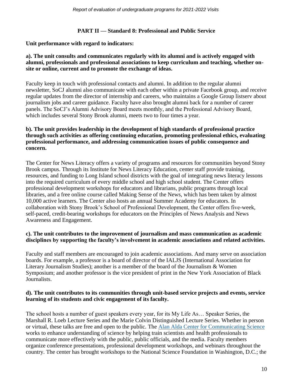### **PART II — Standard 8: Professional and Public Service**

### **Unit performance with regard to indicators:**

### **a). The unit consults and communicates regularly with its alumni and is actively engaged with alumni, professionals and professional associations to keep curriculum and teaching, whether onsite or online, current and to promote the exchange of ideas.**

Faculty keep in touch with professional contacts and alumni. In addition to the regular alumni newsletter, SoCJ alumni also communicate with each other within a private Facebook group, and receive regular updates from the director of internship and careers, who maintains a Google Group listserv about journalism jobs and career guidance. Faculty have also brought alumni back for a number of career panels. The SoCJ's Alumni Advisory Board meets monthly, and the Professional Advisory Board, which includes several Stony Brook alumni, meets two to four times a year.

### **b). The unit provides leadership in the development of high standards of professional practice through such activities as offering continuing education, promoting professional ethics, evaluating professional performance, and addressing communication issues of public consequence and concern.**

The Center for News Literacy offers a variety of programs and resources for communities beyond Stony Brook campus. Through its Institute for News Literacy Education, center staff provide training, resources, and funding to Long Island school districts with the goal of integrating news literacy lessons into the required curriculum of every middle school and high school student. The Center offers professional development workshops for educators and librarians, public programs through local libraries, and a free online course called Making Sense of the News, which has been taken by almost 10,000 active learners. The Center also hosts an annual Summer Academy for educators. In collaboration with Stony Brook's School of Professional Development, the Center offers five-week, self-paced, credit-bearing workshops for educators on the Principles of News Analysis and News Awareness and Engagement.

### **c). The unit contributes to the improvement of journalism and mass communication as academic disciplines by supporting the faculty's involvement in academic associations and related activities.**

Faculty and staff members are encouraged to join academic associations. And many serve on association boards. For example, a professor is a board of director of the IALJS (International Association for Literary Journalism Studies); another is a member of the board of the Journalism & Women Symposium; and another professor is the vice president of print in the New York Association of Black Journalists.

### **d). The unit contributes to its communities through unit-based service projects and events, service learning of its students and civic engagement of its faculty.**

The school hosts a number of guest speakers every year, for its My Life As… Speaker Series, the Marshall R. Loeb Lecture Series and the Marie Colvin Distinguished Lecture Series. Whether in person or virtual, these talks are free and open to the public. The [Alan Alda Center for Communicating Science](https://aldacenter.org/) works to enhance understanding of science by helping train scientists and health professionals to communicate more effectively with the public, public officials, and the media. Faculty members organize conference presentations, professional development workshops, and webinars throughout the country. The center has brought workshops to the National Science Foundation in Washington, D.C.; the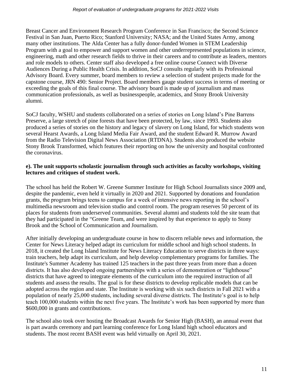Breast Cancer and Environment Research Program Conference in San Francisco; the Second Science Festival in San Juan, Puerto Rico; Stanford University; NASA; and the United States Army, among many other institutions. The Alda Center has a fully donor-funded Women in STEM Leadership Program with a goal to empower and support women and other underrepresented populations in science, engineering, math and other research fields to thrive in their careers and to contribute as leaders, mentors and role models to others. Center staff also developed a free online course Connect with Diverse Audiences During a Public Health Crisis. In addition, SoCJ consults regularly with its Professional Advisory Board. Every summer, board members to review a selection of student projects made for the capstone course, JRN 490: Senior Project. Board members gauge student success in terms of meeting or exceeding the goals of this final course. The advisory board is made up of journalism and mass communication professionals, as well as businesspeople, academics, and Stony Brook University alumni.

SoCJ faculty, WSHU and students collaborated on a series of stories on Long Island's Pine Barrens Preserve, a large stretch of pine forests that have been protected, by law, since 1993. Students also produced a series of stories on the history and legacy of slavery on Long Island, for which students won several Hearst Awards, a Long Island Media Fair Award, and the student Edward R. Murrow Award from the Radio Television Digital News Association (RTDNA). Students also produced the website Stony Brook Transformed, which features their reporting on how the university and hospital confronted the coronavirus.

### **e). The unit supports scholastic journalism through such activities as faculty workshops, visiting lectures and critiques of student work.**

The school has held the Robert W. Greene Summer Institute for High School Journalists since 2009 and, despite the pandemic, even held it virtually in 2020 and 2021. Supported by donations and foundation grants, the program brings teens to campus for a week of intensive news reporting in the school's multimedia newsroom and television studio and control room. The program reserves 50 percent of its places for students from underserved communities. Several alumni and students told the site team that they had participated in the "Greene Team, and were inspired by that experience to apply to Stony Brook and the School of Communication and Journalism.

After initially developing an undergraduate course in how to discern reliable news and information, the Center for News Literacy helped adapt its curriculum for middle school and high school students. In 2018, it created the Long Island Institute for News Literacy Education to serve districts in three ways: train teachers, help adapt its curriculum, and help develop complementary programs for families. The Institute's Summer Academy has trained 125 teachers in the past three years from more than a dozen districts. It has also developed ongoing partnerships with a series of demonstration or "lighthouse" districts that have agreed to integrate elements of the curriculum into the required instruction of all students and assess the results. The goal is for these districts to develop replicable models that can be adopted across the region and state. The Institute is working with six such districts in Fall 2021 with a population of nearly 25,000 students, including several diverse districts. The Institute's goal is to help teach 100,000 students within the next five years. The Institute's work has been supported by more than \$600,000 in grants and contributions.

The school also took over hosting the Broadcast Awards for Senior High (BASH), an annual event that is part awards ceremony and part learning conference for Long Island high school educators and students. The most recent BASH event was held virtually on April 30, 2021.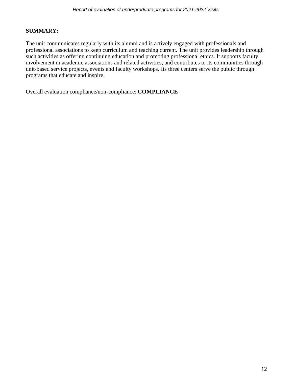# **SUMMARY:**

The unit communicates regularly with its alumni and is actively engaged with professionals and professional associations to keep curriculum and teaching current. The unit provides leadership through such activities as offering continuing education and promoting professional ethics. It supports faculty involvement in academic associations and related activities; and contributes to its communities through unit-based service projects, events and faculty workshops. Its three centers serve the public through programs that educate and inspire.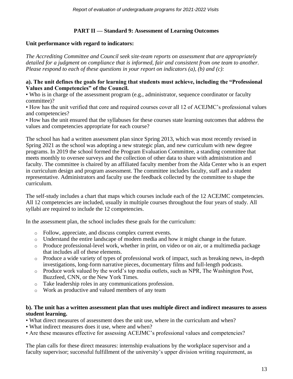# **PART II — Standard 9: Assessment of Learning Outcomes**

### **Unit performance with regard to indicators:**

*The Accrediting Committee and Council seek site-team reports on assessment that are appropriately detailed for a judgment on compliance that is informed, fair and consistent from one team to another. Please respond to each of these questions in your report on indicators (a), (b) and (c):*

### **a). The unit defines the goals for learning that students must achieve, including the "Professional Values and Competencies" of the Council.**

• Who is in charge of the assessment program (e.g., administrator, sequence coordinator or faculty committee)?

• How has the unit verified that core and required courses cover all 12 of ACEJMC's professional values and competencies?

• How has the unit ensured that the syllabuses for these courses state learning outcomes that address the values and competencies appropriate for each course?

The school has had a written assessment plan since Spring 2013, which was most recently revised in Spring 2021 as the school was adopting a new strategic plan, and new curriculum with new degree programs. In 2019 the school formed the Program Evaluation Committee, a standing committee that meets monthly to oversee surveys and the collection of other data to share with administration and faculty. The committee is chaired by an affiliated faculty member from the Alda Center who is an expert in curriculum design and program assessment. The committee includes faculty, staff and a student representative. Administrators and faculty use the feedback collected by the committee to shape the curriculum.

The self-study includes a chart that maps which courses include each of the 12 ACEJMC competencies. All 12 competencies are included, usually in multiple courses throughout the four years of study. All syllabi are required to include the 12 competencies.

In the assessment plan, the school includes these goals for the curriculum:

- o Follow, appreciate, and discuss complex current events.
- o Understand the entire landscape of modern media and how it might change in the future.
- o Produce professional-level work, whether in print, on video or on air, or a multimedia package that includes all of these elements.
- o Produce a wide variety of types of professional work of impact, such as breaking news, in-depth investigations, long-form narrative pieces, documentary films and full-length podcasts.
- o Produce work valued by the world's top media outlets, such as NPR, The Washington Post, Buzzfeed, CNN, or the New York Times.
- o Take leadership roles in any communications profession.
- o Work as productive and valued members of any team

### **b). The unit has a written assessment plan that uses multiple direct and indirect measures to assess student learning.**

- What direct measures of assessment does the unit use, where in the curriculum and when?
- What indirect measures does it use, where and when?
- Are these measures effective for assessing ACEJMC's professional values and competencies?

The plan calls for these direct measures: internship evaluations by the workplace supervisor and a faculty supervisor; successful fulfillment of the university's upper division writing requirement, as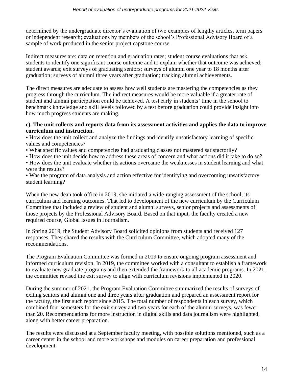determined by the undergraduate director's evaluation of two examples of lengthy articles, term papers or independent research; evaluations by members of the school's Professional Advisory Board of a sample of work produced in the senior project capstone course.

Indirect measures are: data on retention and graduation rates; student course evaluations that ask students to identify one significant course outcome and to explain whether that outcome was achieved; student awards; exit surveys of graduating seniors; surveys of alumni one year to 18 months after graduation; surveys of alumni three years after graduation; tracking alumni achievements.

The direct measures are adequate to assess how well students are mastering the competencies as they progress through the curriculum. The indirect measures would be more valuable if a greater rate of student and alumni participation could be achieved. A test early in students' time in the school to benchmark knowledge and skill levels followed by a test before graduation could provide insight into how much progress students are making.

### **c). The unit collects and reports data from its assessment activities and applies the data to improve curriculum and instruction.**

• How does the unit collect and analyze the findings and identify unsatisfactory learning of specific values and competencies?

- What specific values and competencies had graduating classes not mastered satisfactorily?
- How does the unit decide how to address these areas of concern and what actions did it take to do so?
- How does the unit evaluate whether its actions overcame the weaknesses in student learning and what were the results?

• Was the program of data analysis and action effective for identifying and overcoming unsatisfactory student learning?

When the new dean took office in 2019, she initiated a wide-ranging assessment of the school, its curriculum and learning outcomes. That led to development of the new curriculum by the Curriculum Committee that included a review of student and alumni surveys, senior projects and assessments of those projects by the Professional Advisory Board. Based on that input, the faculty created a new required course, Global Issues in Journalism.

In Spring 2019, the Student Advisory Board solicited opinions from students and received 127 responses. They shared the results with the Curriculum Committee, which adopted many of the recommendations.

The Program Evaluation Committee was formed in 2019 to ensure ongoing program assessment and informed curriculum revision. In 2019, the committee worked with a consultant to establish a framework to evaluate new graduate programs and then extended the framework to all academic programs. In 2021, the committee revised the exit survey to align with curriculum revisions implemented in 2020.

During the summer of 2021, the Program Evaluation Committee summarized the results of surveys of exiting seniors and alumni one and three years after graduation and prepared an assessment report for the faculty, the first such report since 2015. The total number of respondents in each survey, which combined four semesters for the exit survey and two years for each of the alumni surveys, was fewer than 20. Recommendations for more instruction in digital skills and data journalism were highlighted, along with better career preparation.

The results were discussed at a September faculty meeting, with possible solutions mentioned, such as a career center in the school and more workshops and modules on career preparation and professional development.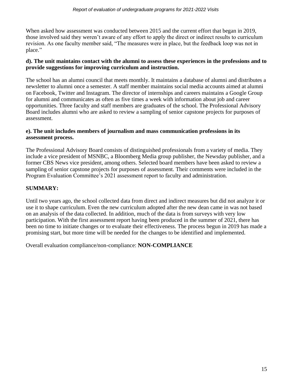When asked how assessment was conducted between 2015 and the current effort that began in 2019, those involved said they weren't aware of any effort to apply the direct or indirect results to curriculum revision. As one faculty member said, "The measures were in place, but the feedback loop was not in place."

### **d). The unit maintains contact with the alumni to assess these experiences in the professions and to provide suggestions for improving curriculum and instruction.**

The school has an alumni council that meets monthly. It maintains a database of alumni and distributes a newsletter to alumni once a semester. A staff member maintains social media accounts aimed at alumni on Facebook, Twitter and Instagram. The director of internships and careers maintains a Google Group for alumni and communicates as often as five times a week with information about job and career opportunities. Three faculty and staff members are graduates of the school. The Professional Advisory Board includes alumni who are asked to review a sampling of senior capstone projects for purposes of assessment.

## **e). The unit includes members of journalism and mass communication professions in its assessment process.**

The Professional Advisory Board consists of distinguished professionals from a variety of media. They include a vice president of MSNBC, a Bloomberg Media group publisher, the Newsday publisher, and a former CBS News vice president, among others. Selected board members have been asked to review a sampling of senior capstone projects for purposes of assessment. Their comments were included in the Program Evaluation Committee's 2021 assessment report to faculty and administration.

# **SUMMARY:**

Until two years ago, the school collected data from direct and indirect measures but did not analyze it or use it to shape curriculum. Even the new curriculum adopted after the new dean came in was not based on an analysis of the data collected. In addition, much of the data is from surveys with very low participation. With the first assessment report having been produced in the summer of 2021, there has been no time to initiate changes or to evaluate their effectiveness. The process begun in 2019 has made a promising start, but more time will be needed for the changes to be identified and implemented.